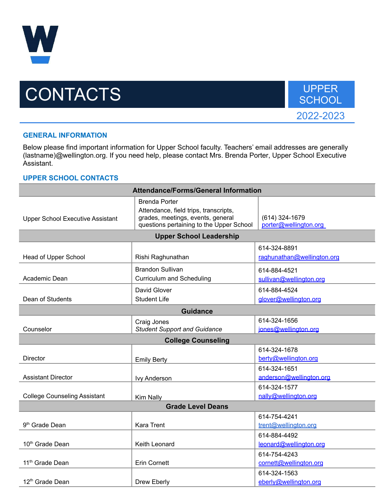

## CONTACTS UPPER SCHOOL



## **GENERAL INFORMATION**

Below please find important information for Upper School faculty. Teachers' email addresses are generally (lastname)@wellington.org. If you need help, please contact Mrs. Brenda Porter, Upper School Executive Assistant.

## **UPPER SCHOOL CONTACTS**

| <b>Attendance/Forms/General Information</b> |                                                                                                                                                |                                            |  |
|---------------------------------------------|------------------------------------------------------------------------------------------------------------------------------------------------|--------------------------------------------|--|
| <b>Upper School Executive Assistant</b>     | <b>Brenda Porter</b><br>Attendance, field trips, transcripts,<br>grades, meetings, events, general<br>questions pertaining to the Upper School | (614) 324-1679<br>porter@wellington.org    |  |
| <b>Upper School Leadership</b>              |                                                                                                                                                |                                            |  |
| Head of Upper School                        | Rishi Raghunathan                                                                                                                              | 614-324-8891<br>raghunathan@wellington.org |  |
| Academic Dean                               | <b>Brandon Sullivan</b><br><b>Curriculum and Scheduling</b>                                                                                    | 614-884-4521<br>sullivan@wellington.org    |  |
| Dean of Students                            | David Glover<br><b>Student Life</b>                                                                                                            | 614-884-4524<br>glover@wellington.org      |  |
| <b>Guidance</b>                             |                                                                                                                                                |                                            |  |
| Counselor                                   | Craig Jones<br><b>Student Support and Guidance</b>                                                                                             | 614-324-1656<br>jones@wellington.org       |  |
| <b>College Counseling</b>                   |                                                                                                                                                |                                            |  |
| Director                                    | <b>Emily Berty</b>                                                                                                                             | 614-324-1678<br>berty@wellington.org       |  |
| <b>Assistant Director</b>                   | <b>Ivy Anderson</b>                                                                                                                            | 614-324-1651<br>anderson@wellington.org    |  |
| <b>College Counseling Assistant</b>         | Kim Nally                                                                                                                                      | 614-324-1577<br>nally@wellington.org       |  |
| <b>Grade Level Deans</b>                    |                                                                                                                                                |                                            |  |
| 9 <sup>th</sup> Grade Dean                  | <b>Kara Trent</b>                                                                                                                              | 614-754-4241<br>trent@wellington.org       |  |
| 10 <sup>th</sup> Grade Dean                 | Keith Leonard                                                                                                                                  | 614-884-4492<br>leonard@wellington.org     |  |
| 11 <sup>th</sup> Grade Dean                 | <b>Erin Cornett</b>                                                                                                                            | 614-754-4243<br>cornett@wellington.org     |  |
| 12 <sup>th</sup> Grade Dean                 | Drew Eberly                                                                                                                                    | 614-324-1563<br>eberly@wellington.org      |  |